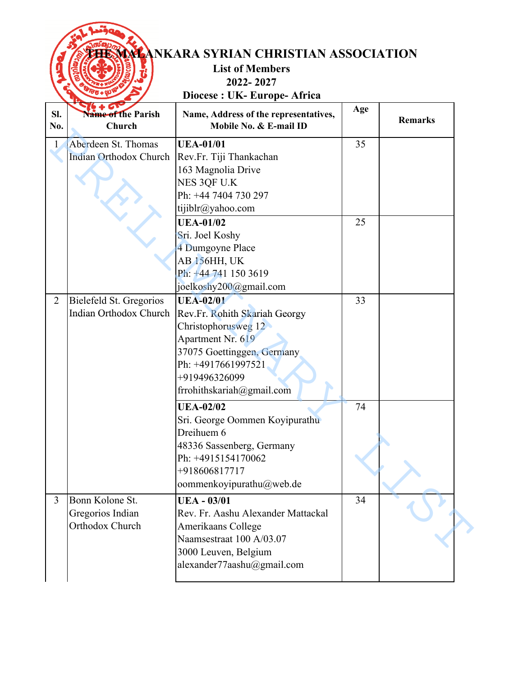|                | <b>WALANKARA SYRIAN CHRISTIAN ASSOCIATION</b><br><b>List of Members</b><br>2022-2027 |                                                                                                                                                                                                 |     |                |  |
|----------------|--------------------------------------------------------------------------------------|-------------------------------------------------------------------------------------------------------------------------------------------------------------------------------------------------|-----|----------------|--|
|                |                                                                                      | Diocese : UK- Europe- Africa                                                                                                                                                                    |     |                |  |
| Sl.<br>No.     | <b>Vame of the Parish</b><br>Church                                                  | Name, Address of the representatives,<br>Mobile No. & E-mail ID                                                                                                                                 | Age | <b>Remarks</b> |  |
| $\mathbf{1}$   | Aberdeen St. Thomas<br>Indian Orthodox Church                                        | <b>UEA-01/01</b><br>Rev.Fr. Tiji Thankachan<br>163 Magnolia Drive<br>NES 3QF U.K<br>Ph: +44 7404 730 297<br>tijiblr@yahoo.com                                                                   | 35  |                |  |
|                |                                                                                      | <b>UEA-01/02</b><br>Sri. Joel Koshy<br>4 Dumgoyne Place<br>AB <sub>156</sub> HH, UK<br>Ph: +44 741 150 3619<br>joelkoshy200@gmail.com                                                           | 25  |                |  |
| $\overline{2}$ | Bielefeld St. Gregorios<br>Indian Orthodox Church                                    | <b>UEA-02/01</b><br>Rev.Fr. Rohith Skariah Georgy<br>Christophorusweg 12<br>Apartment Nr. 619<br>37075 Goettinggen, Germany<br>Ph: +4917661997521<br>+919496326099<br>frrohithskariah@gmail.com | 33  |                |  |
|                |                                                                                      | <b>UEA-02/02</b><br>Sri. George Oommen Koyipurathu<br>Dreihuem 6<br>48336 Sassenberg, Germany<br>Ph: +4915154170062<br>+918606817717<br>oommenkoyipurathu@web.de                                | 74  |                |  |
| 3              | Bonn Kolone St.<br>Gregorios Indian<br>Orthodox Church                               | <b>UEA - 03/01</b><br>Rev. Fr. Aashu Alexander Mattackal<br>Amerikaans College<br>Naamsestraat 100 A/03.07<br>3000 Leuven, Belgium<br>alexander77aashu@gmail.com                                | 34  |                |  |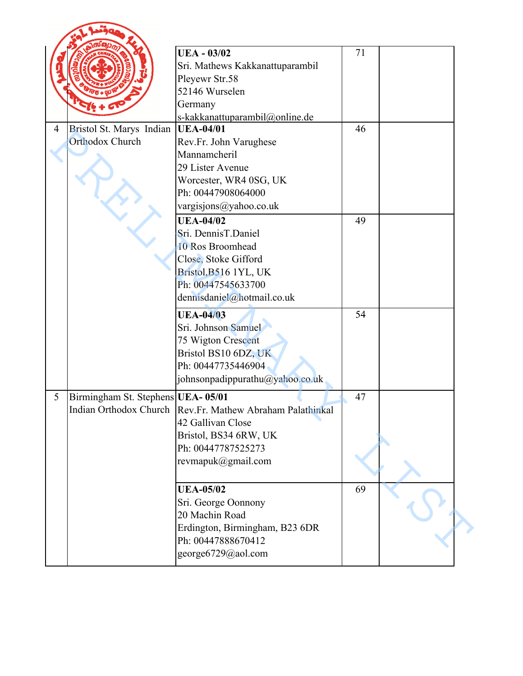|   |                                             | <b>UEA - 03/02</b><br>Sri. Mathews Kakkanattuparambil<br>Pleyewr Str.58<br>52146 Wurselen<br>Germany<br>s-kakkanattuparambil@online.de                           | 71 |  |
|---|---------------------------------------------|------------------------------------------------------------------------------------------------------------------------------------------------------------------|----|--|
| 4 | Bristol St. Marys Indian<br>Orthodox Church | UEA-04/01<br>Rev.Fr. John Varughese<br>Mannamcheril<br>29 Lister Avenue<br>Worcester, WR4 0SG, UK<br>Ph: 00447908064000<br>vargisjons@yahoo.co.uk                | 46 |  |
|   |                                             | <b>UEA-04/02</b><br>Sri. DennisT.Daniel<br>10 Ros Broomhead<br>Close, Stoke Gifford<br>Bristol, B516 1YL, UK<br>Ph: 00447545633700<br>dennisdaniel@hotmail.co.uk | 49 |  |
|   |                                             | <b>UEA-04/03</b><br>Sri. Johnson Samuel<br>75 Wigton Crescent<br>Bristol BS10 6DZ, UK<br>Ph: 00447735446904<br>johnsonpadippurathu@yahoo.co.uk                   | 54 |  |
| 5 | Birmingham St. Stephens UEA-05/01           | Indian Orthodox Church   Rev. Fr. Mathew Abraham Palathinkal<br>42 Gallivan Close<br>Bristol, BS34 6RW, UK<br>Ph: 00447787525273<br>revmapuk@gmail.com           | 47 |  |
|   |                                             | <b>UEA-05/02</b><br>Sri. George Oonnony<br>20 Machin Road<br>Erdington, Birmingham, B23 6DR<br>Ph: 00447888670412<br>george6729@aol.com                          | 69 |  |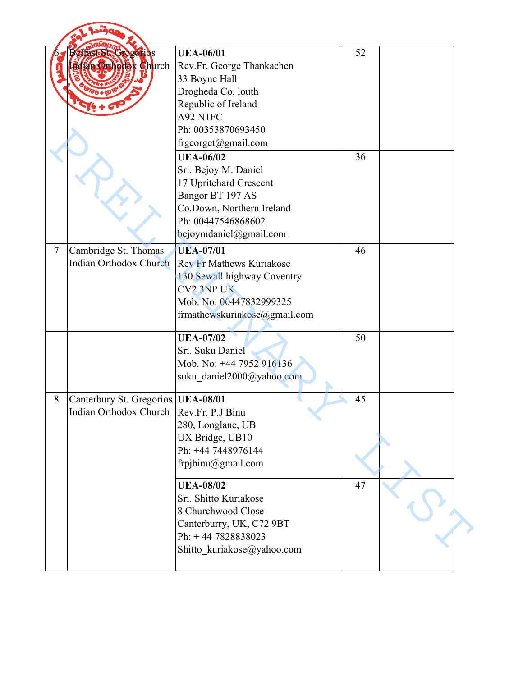|        | FasteSt. Gregorios<br>dian Orthousk Church                                         | <b>UEA-06/01</b><br>Rev.Fr. George Thankachen<br>33 Boyne Hall<br>Drogheda Co. louth<br>Republic of Ireland<br>A92 N1FC<br>Ph: 00353870693450<br>frgeorget@gmail.com<br><b>UEA-06/02</b><br>Sri. Bejoy M. Daniel<br>17 Upritchard Crescent | 52<br>36 |  |
|--------|------------------------------------------------------------------------------------|--------------------------------------------------------------------------------------------------------------------------------------------------------------------------------------------------------------------------------------------|----------|--|
| $\tau$ | Cambridge St. Thomas                                                               | Bangor BT 197 AS<br>Co.Down, Northern Ireland<br>Ph: 00447546868602<br>bejoymdaniel@gmail.com<br><b>UEA-07/01</b>                                                                                                                          | 46       |  |
|        | <b>Indian Orthodox Church</b>                                                      | <b>Rev Fr Mathews Kuriakose</b><br>130 Sewall highway Coventry<br><b>CV2 3NP UK</b><br>Mob. No: 00447832999325<br>frmathewskuriakose@gmail.com                                                                                             |          |  |
|        |                                                                                    | <b>UEA-07/02</b><br>Sri. Suku Daniel<br>Mob. No: +44 7952 916136<br>suku_daniel2000@yahoo.com                                                                                                                                              | 50       |  |
| 8      | Canterbury St. Gregorios   UEA-08/01<br>Indian Orthodox Church   Rev. Fr. P.J Binu | 280, Longlane, UB<br>UX Bridge, UB10<br>Ph: +44 7448976144<br>frpjbinu@gmail.com                                                                                                                                                           | 45       |  |
|        |                                                                                    | <b>UEA-08/02</b><br>Sri. Shitto Kuriakose<br>8 Churchwood Close<br>Canterburry, UK, C72 9BT<br>Ph: +44 7828838023<br>Shitto_kuriakose@yahoo.com                                                                                            | 47       |  |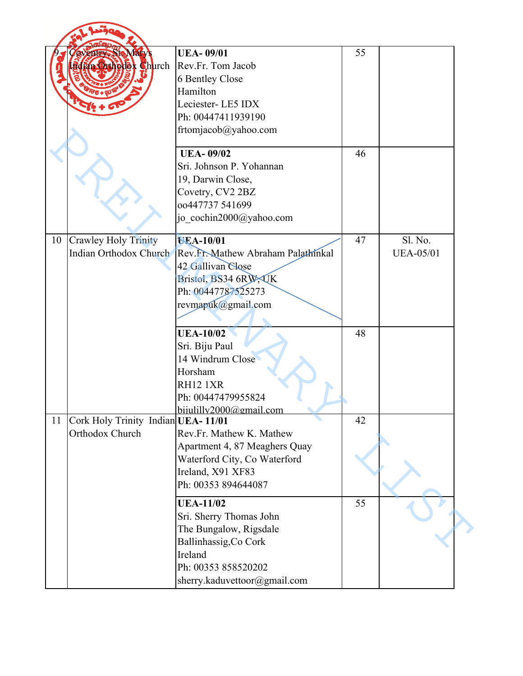|    | avenum, St. Mary's<br>Bdfan Orthodex Church           | <b>UEA-09/01</b><br>Rev.Fr. Tom Jacob<br><b>6 Bentley Close</b><br>Hamilton<br>Leciester-LE5 IDX<br>Ph: 00447411939190<br>frtomjacob@yahoo.com                   | 55 |                             |
|----|-------------------------------------------------------|------------------------------------------------------------------------------------------------------------------------------------------------------------------|----|-----------------------------|
|    |                                                       | <b>UEA-09/02</b><br>Sri. Johnson P. Yohannan<br>19, Darwin Close,<br>Covetry, CV2 2BZ<br>00447737 541699<br>jo cochin2000@yahoo.com                              | 46 |                             |
| 10 | <b>Crawley Holy Trinity</b><br>Indian Orthodox Church | <b>UEA-10/01</b><br>Rev.Fr. Mathew Abraham Palathinkal<br>42 Gallivan Close<br>Bristol, BS34 6RW, UK<br>Ph: 00447787525273<br>revmapuk@gmail.com                 | 47 | Sl. No.<br><b>UEA-05/01</b> |
|    |                                                       | <b>UEA-10/02</b><br>Sri. Biju Paul<br>14 Windrum Close<br>Horsham<br><b>RH12 1XR</b><br>Ph: 00447479955824<br>bijulilly2000@gmail.com                            | 48 |                             |
| 11 | Cork Holy Trinity Indian UEA-11/01<br>Orthodox Church | Rev.Fr. Mathew K. Mathew<br>Apartment 4, 87 Meaghers Quay<br>Waterford City, Co Waterford<br>Ireland, X91 XF83<br>Ph: 00353 894644087                            | 42 |                             |
|    |                                                       | <b>UEA-11/02</b><br>Sri. Sherry Thomas John<br>The Bungalow, Rigsdale<br>Ballinhassig, Co Cork<br>Ireland<br>Ph: 00353 858520202<br>sherry.kaduvettoor@gmail.com | 55 |                             |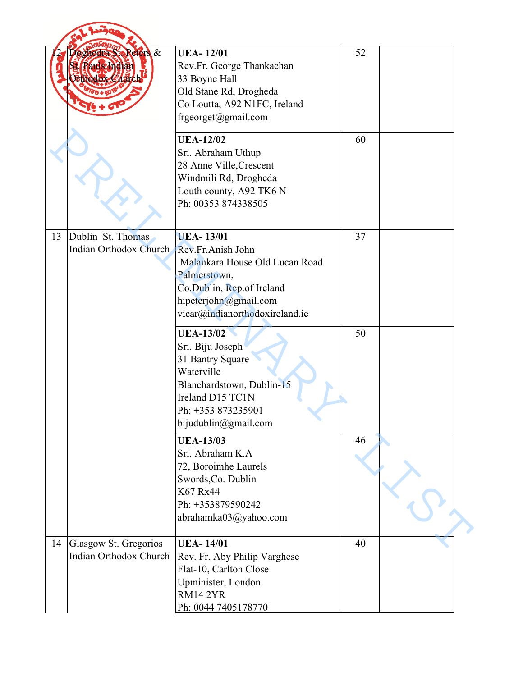|    | de dra Ste Refers &<br>Pauls Indian<br>Ethodox Church | <b>UEA-12/01</b><br>Rev.Fr. George Thankachan<br>33 Boyne Hall<br>Old Stane Rd, Drogheda<br>Co Loutta, A92 N1FC, Ireland<br>frgeorget@gmail.com                                 | 52 |  |
|----|-------------------------------------------------------|---------------------------------------------------------------------------------------------------------------------------------------------------------------------------------|----|--|
|    |                                                       | <b>UEA-12/02</b><br>Sri. Abraham Uthup<br>28 Anne Ville, Crescent<br>Windmili Rd, Drogheda<br>Louth county, A92 TK6 N<br>Ph: 00353 874338505                                    | 60 |  |
| 13 | Dublin St. Thomas<br>Indian Orthodox Church           | <b>UEA-13/01</b><br>Rev.Fr.Anish John<br>Malankara House Old Lucan Road<br>Palmerstown,<br>Co.Dublin, Rep.of Ireland<br>hipeterjohn@gmail.com<br>vicar@indianorthodoxireland.ie | 37 |  |
|    |                                                       | <b>UEA-13/02</b><br>Sri. Biju Joseph<br>31 Bantry Square<br>Waterville<br>Blanchardstown, Dublin-15<br>Ireland D15 TC1N<br>Ph: +353 873235901<br>bijudublin@gmail.com           | 50 |  |
|    |                                                       | <b>UEA-13/03</b><br>Sri. Abraham K.A<br>72, Boroimhe Laurels<br>Swords, Co. Dublin<br>K67 Rx44<br>Ph: +353879590242<br>abrahamka03@yahoo.com                                    | 46 |  |
| 14 | Glasgow St. Gregorios<br>Indian Orthodox Church       | <b>UEA-14/01</b><br>Rev. Fr. Aby Philip Varghese<br>Flat-10, Carlton Close<br>Upminister, London<br>RM142YR<br>Ph: 0044 7405178770                                              | 40 |  |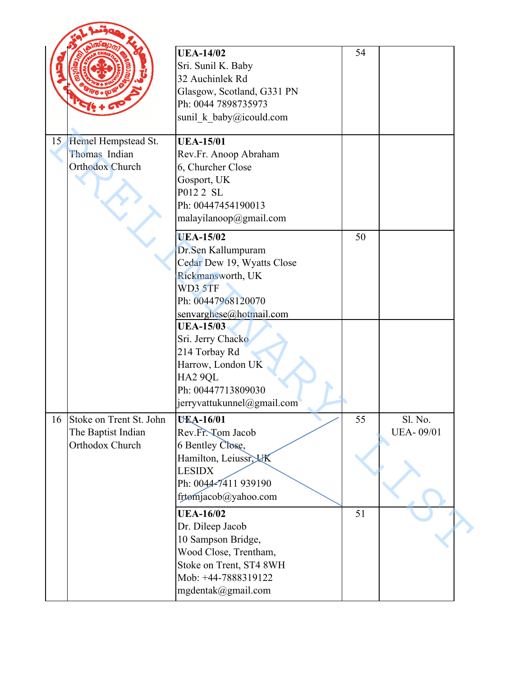|    |                         | <b>UEA-14/02</b><br>Sri. Sunil K. Baby<br>32 Auchinlek Rd<br>Glasgow, Scotland, G331 PN<br>Ph: 0044 7898735973<br>sunil_k_baby@icould.com | 54 |                  |  |
|----|-------------------------|-------------------------------------------------------------------------------------------------------------------------------------------|----|------------------|--|
|    | 15 Hemel Hempstead St.  | <b>UEA-15/01</b>                                                                                                                          |    |                  |  |
|    | Thomas Indian           | Rev.Fr. Anoop Abraham                                                                                                                     |    |                  |  |
|    | <b>Orthodox Church</b>  | 6, Churcher Close                                                                                                                         |    |                  |  |
|    |                         | Gosport, UK<br>P012 2 SL                                                                                                                  |    |                  |  |
|    |                         | Ph: 00447454190013                                                                                                                        |    |                  |  |
|    |                         | malayilanoop@gmail.com                                                                                                                    |    |                  |  |
|    |                         |                                                                                                                                           |    |                  |  |
|    |                         | <b>UEA-15/02</b>                                                                                                                          | 50 |                  |  |
|    |                         | Dr.Sen Kallumpuram                                                                                                                        |    |                  |  |
|    |                         | Cedar Dew 19, Wyatts Close                                                                                                                |    |                  |  |
|    |                         | Rickmansworth, UK                                                                                                                         |    |                  |  |
|    |                         | WD3 5TF<br>Ph: 00447968120070                                                                                                             |    |                  |  |
|    |                         | senvarghese@hotmail.com                                                                                                                   |    |                  |  |
|    |                         | <b>UEA-15/03</b>                                                                                                                          |    |                  |  |
|    |                         | Sri. Jerry Chacko                                                                                                                         |    |                  |  |
|    |                         | 214 Torbay Rd                                                                                                                             |    |                  |  |
|    |                         | Harrow, London UK                                                                                                                         |    |                  |  |
|    |                         | HA2 9QL                                                                                                                                   |    |                  |  |
|    |                         | Ph: 00447713809030                                                                                                                        |    |                  |  |
|    |                         | jerryvattukunnel@gmail.com                                                                                                                |    |                  |  |
| 16 | Stoke on Trent St. John | <b>UEA-16/01</b>                                                                                                                          | 55 | Sl. No.          |  |
|    | The Baptist Indian      | Rev.Fr. Tom Jacob                                                                                                                         |    | <b>UEA-09/01</b> |  |
|    | Orthodox Church         | 6 Bentley Close,                                                                                                                          |    |                  |  |
|    |                         | Hamilton, Leiussr, UK                                                                                                                     |    |                  |  |
|    |                         | <b>LESIDX</b>                                                                                                                             |    |                  |  |
|    |                         | Ph: 0044-7411 939190                                                                                                                      |    |                  |  |
|    |                         | frtomjacob@yahoo.com                                                                                                                      |    |                  |  |
|    |                         | <b>UEA-16/02</b>                                                                                                                          | 51 |                  |  |
|    |                         | Dr. Dileep Jacob                                                                                                                          |    |                  |  |
|    |                         | 10 Sampson Bridge,                                                                                                                        |    |                  |  |
|    |                         | Wood Close, Trentham,                                                                                                                     |    |                  |  |
|    |                         | Stoke on Trent, ST4 8WH                                                                                                                   |    |                  |  |
|    |                         | Mob: +44-7888319122                                                                                                                       |    |                  |  |
|    |                         | mgdentak@gmail.com                                                                                                                        |    |                  |  |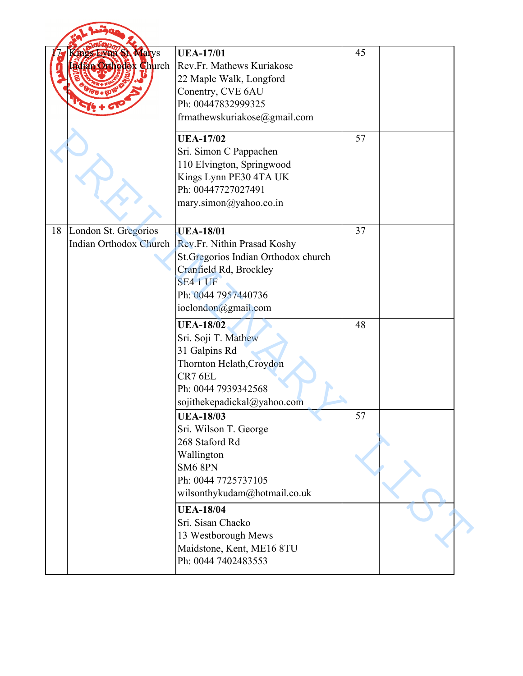|    | <b>SILS EVEN SA Marys</b><br>dian Orthodek Church     | <b>UEA-17/01</b><br>Rev.Fr. Mathews Kuriakose<br>22 Maple Walk, Longford<br>Conentry, CVE 6AU<br>Ph: 00447832999325<br>frmathewskuriakose@gmail.com                         | 45 |  |
|----|-------------------------------------------------------|-----------------------------------------------------------------------------------------------------------------------------------------------------------------------------|----|--|
|    |                                                       | <b>UEA-17/02</b><br>Sri. Simon C Pappachen<br>110 Elvington, Springwood<br>Kings Lynn PE30 4TA UK<br>Ph: 00447727027491<br>mary.simon@yahoo.co.in                           | 57 |  |
| 18 | London St. Gregorios<br><b>Indian Orthodox Church</b> | <b>UEA-18/01</b><br>Rev.Fr. Nithin Prasad Koshy<br>St. Gregorios Indian Orthodox church<br>Cranfield Rd, Brockley<br>SE4 1 UF<br>Ph: 0044 7957440736<br>ioclondon@gmail.com | 37 |  |
|    |                                                       | <b>UEA-18/02</b><br>Sri. Soji T. Mathew<br>31 Galpins Rd<br>Thornton Helath, Croydon<br>CR7 6EL<br>Ph: 0044 7939342568<br>sojithekepadickal@yahoo.com                       | 48 |  |
|    |                                                       | <b>UEA-18/03</b><br>Sri. Wilson T. George<br>268 Staford Rd<br>Wallington<br>SM6 8PN<br>Ph: 0044 7725737105<br>wilsonthykudam@hotmail.co.uk                                 | 57 |  |
|    |                                                       | <b>UEA-18/04</b><br>Sri. Sisan Chacko<br>13 Westborough Mews<br>Maidstone, Kent, ME16 8TU<br>Ph: 0044 7402483553                                                            |    |  |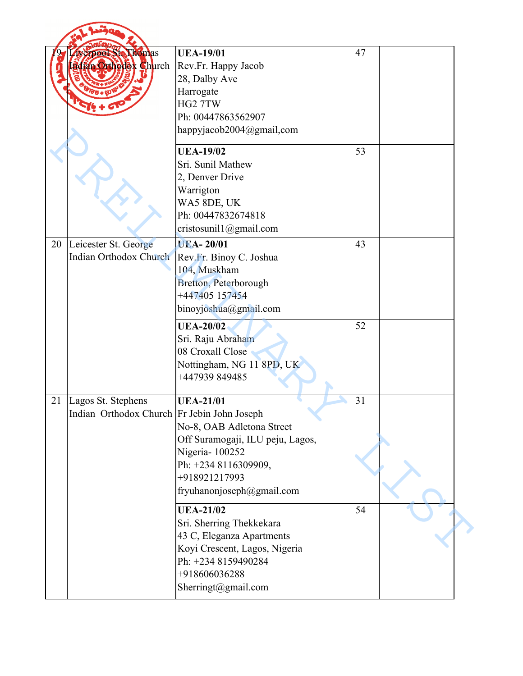|    | erpool Ste Thomas<br>dian Orthodex Church                         | <b>UEA-19/01</b><br>Rev.Fr. Happy Jacob<br>28, Dalby Ave<br>Harrogate<br>HG <sub>2</sub> 7TW<br>Ph: 00447863562907<br>happyjacob2004@gmail.com                            | 47 |  |
|----|-------------------------------------------------------------------|---------------------------------------------------------------------------------------------------------------------------------------------------------------------------|----|--|
|    |                                                                   | <b>UEA-19/02</b><br>Sri. Sunil Mathew<br>2, Denver Drive<br>Warrigton<br>WA5 8DE, UK<br>Ph: 00447832674818<br>cristosunil $1$ @gmail.com                                  | 53 |  |
| 20 | Leicester St. George<br><b>Indian Orthodox Church</b>             | <b>UEA-20/01</b><br>Rev.Fr. Binoy C. Joshua<br>104, Muskham<br>Bretton, Peterborough<br>+447405 157454<br>binoyjoshua@gmail.com                                           | 43 |  |
|    |                                                                   | <b>UEA-20/02</b><br>Sri. Raju Abraham<br>08 Croxall Close<br>Nottingham, NG 11 8PD, UK<br>+447939 849485                                                                  | 52 |  |
| 21 | Lagos St. Stephens<br>Indian Orthodox Church Fr Jebin John Joseph | <b>UEA-21/01</b><br>No-8, OAB Adletona Street<br>Off Suramogaji, ILU peju, Lagos,<br>Nigeria-100252<br>Ph: +234 8116309909,<br>+918921217993<br>fryuhanonjoseph@gmail.com | 31 |  |
|    |                                                                   | <b>UEA-21/02</b><br>Sri. Sherring Thekkekara<br>43 C, Eleganza Apartments<br>Koyi Crescent, Lagos, Nigeria<br>Ph: +234 8159490284<br>+918606036288<br>Sherringt@gmail.com | 54 |  |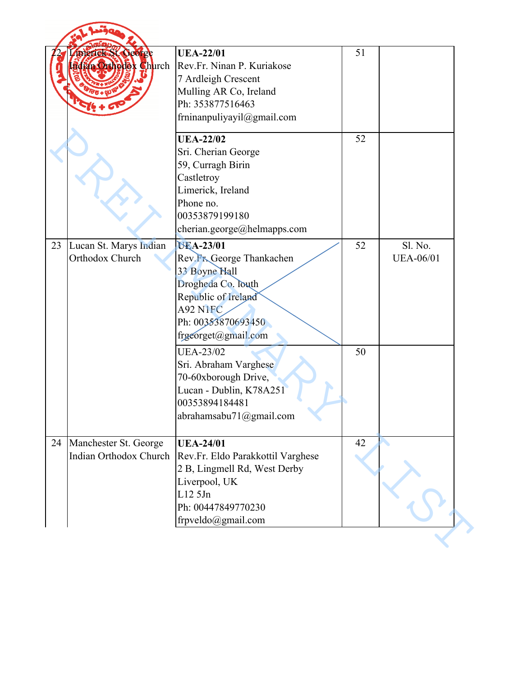|    | merick St Ceorge<br><b>Fin Ortholex Church</b>  | <b>UEA-22/01</b><br>Rev.Fr. Ninan P. Kuriakose<br>7 Ardleigh Crescent<br>Mulling AR Co, Ireland<br>Ph: 353877516463<br>frninanpuliyayil@gmail.com                     | 51 |                             |
|----|-------------------------------------------------|-----------------------------------------------------------------------------------------------------------------------------------------------------------------------|----|-----------------------------|
|    |                                                 | <b>UEA-22/02</b><br>Sri. Cherian George<br>59, Curragh Birin<br>Castletroy<br>Limerick, Ireland<br>Phone no.<br>00353879199180<br>cherian.george@helmapps.com         | 52 |                             |
| 23 | Lucan St. Marys Indian<br>Orthodox Church       | <b>UEA-23/01</b><br>Rev. Fr. George Thankachen<br>33 Boyne Hall<br>Drogheda Co. louth<br>Republic of Ireland<br>A92 N1FC<br>Ph: 00353870693450<br>frgeorget@gmail.com | 52 | Sl. No.<br><b>UEA-06/01</b> |
|    |                                                 | <b>UEA-23/02</b><br>Sri. Abraham Varghese<br>70-60xborough Drive,<br>Lucan - Dublin, K78A251<br>00353894184481<br>abrahamsabu71@gmail.com                             | 50 |                             |
| 24 | Manchester St. George<br>Indian Orthodox Church | <b>UEA-24/01</b><br>Rev.Fr. Eldo Parakkottil Varghese<br>2 B, Lingmell Rd, West Derby<br>Liverpool, UK<br>L125Jn<br>Ph: 00447849770230<br>frpveldo@gmail.com          | 42 |                             |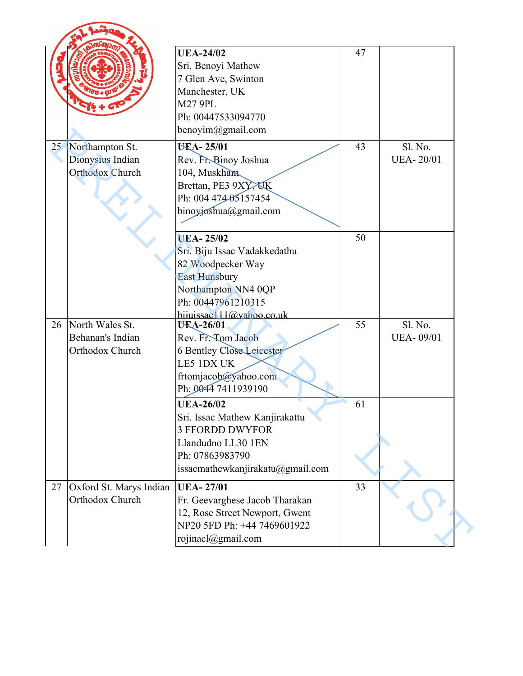|    |                                                        | <b>UEA-24/02</b><br>Sri. Benoyi Mathew<br>7 Glen Ave, Swinton<br>Manchester, UK<br><b>M27 9PL</b><br>Ph: 00447533094770<br>benoyim@gmail.com                           | 47 |                             |
|----|--------------------------------------------------------|------------------------------------------------------------------------------------------------------------------------------------------------------------------------|----|-----------------------------|
| 25 | Northampton St.<br>Dionysius Indian<br>Orthodox Church | <b>UEA-25/01</b><br>Rev. Fr. Binoy Joshua<br>104, Muskham<br>Brettan, PE3 9XY, XK<br>Ph: 004 474 05157454<br>binoyjoshua@gmail.com                                     | 43 | Sl. No.<br><b>UEA-20/01</b> |
|    |                                                        | <b>UEA-25/02</b><br>Sri. Biju Issac Vadakkedathu<br>82 Woodpecker Way<br><b>East Hunsbury</b><br>Northampton NN4 0QP<br>Ph: 00447961210315<br>hiiuissac111@yahoo.co.uk | 50 |                             |
| 26 | North Wales St.<br>Behanan's Indian<br>Orthodox Church | <b>UEA-26/01</b><br>Rev. Fr. Tom Jacob<br><b>6 Bentley Close Leicester</b><br>LE5 1DX UK<br>frtomjacob@yahoo.com<br>Ph: 0044 7411939190                                | 55 | S1. No.<br><b>UEA-09/01</b> |
|    |                                                        | <b>UEA-26/02</b><br>Sri. Issac Mathew Kanjirakattu<br><b>3 FFORDD DWYFOR</b><br>Llandudno LL30 1EN<br>Ph: 07863983790<br>issacmathewkanjirakatu@gmail.com              | 61 |                             |
| 27 | Oxford St. Marys Indian<br>Orthodox Church             | <b>UEA-27/01</b><br>Fr. Geevarghese Jacob Tharakan<br>12, Rose Street Newport, Gwent<br>NP20 5FD Ph: +44 7469601922<br>rojinacl@gmail.com                              | 33 |                             |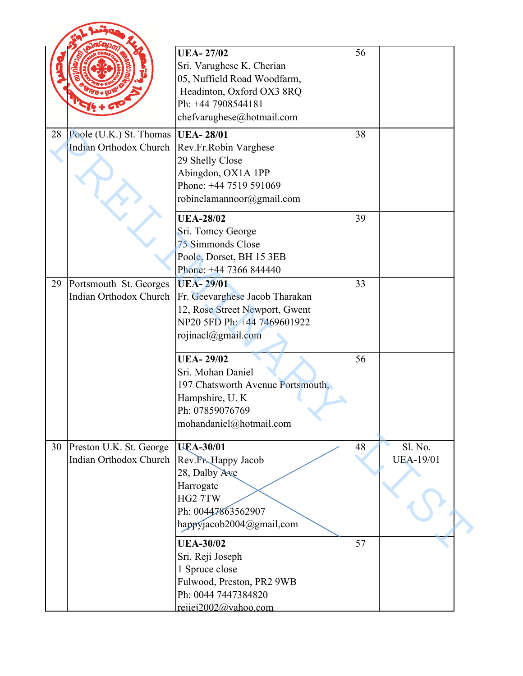|    |                                                          | <b>UEA-27/02</b><br>Sri. Varughese K. Cherian<br>05, Nuffield Road Woodfarm,<br>Headinton, Oxford OX3 8RQ<br>Ph: +44 7908544181<br>chefvarughese@hotmail.com | 56 |                             |
|----|----------------------------------------------------------|--------------------------------------------------------------------------------------------------------------------------------------------------------------|----|-----------------------------|
| 28 | Poole (U.K.) St. Thomas<br><b>Indian Orthodox Church</b> | <b>UEA-28/01</b><br>Rev.Fr.Robin Varghese<br>29 Shelly Close<br>Abingdon, OX1A 1PP<br>Phone: +44 7519 591069<br>robinelamannoor@gmail.com                    | 38 |                             |
|    |                                                          | <b>UEA-28/02</b><br>Sri. Tomcy George<br>75 Simmonds Close<br>Poole, Dorset, BH 15 3EB<br>Phone: +44 7366 844440                                             | 39 |                             |
| 29 | Portsmouth St. Georges<br><b>Indian Orthodox Church</b>  | <b>UEA-29/01</b><br>Fr. Geevarghese Jacob Tharakan<br>12, Rose Street Newport, Gwent<br>NP20 5FD Ph: +44 7469601922<br>rojinacl@gmail.com                    | 33 |                             |
|    |                                                          | <b>UEA-29/02</b><br>Sri. Mohan Daniel<br>197 Chatsworth Avenue Portsmouth,<br>Hampshire, U.K.<br>Ph: 07859076769<br>mohandaniel@hotmail.com                  | 56 |                             |
| 30 | Preston U.K. St. George<br>Indian Orthodox Church        | <b>UEA-30/01</b><br>Rev.Fr.Happy Jacob<br>28, Dalby Ave<br>Harrogate<br>HG2 7TW<br>Ph: 00447863562907<br>happyjacob2004@gmail.com                            | 48 | Sl. No.<br><b>UEA-19/01</b> |
|    |                                                          | <b>UEA-30/02</b><br>Sri. Reji Joseph<br>1 Spruce close<br>Fulwood, Preston, PR2 9WB<br>Ph: 0044 7447384820<br>reijei2002@vahoo.com                           | 57 |                             |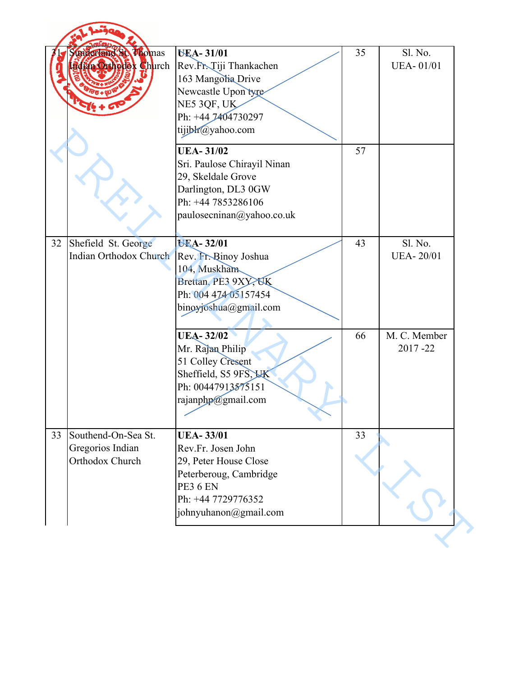|    | Sunderland St Phomas<br>Bofan Orthodex Church              | <b>UEA-31/01</b><br>Rev.Fr. Tiji Thankachen<br>163 Mangolia Drive<br>Newcastle Upon tyre<br>NE5 3QF, UK<br>Ph: +44 7404730297<br>tijibh@yahoo.com           | 35 | Sl. No.<br><b>UEA-01/01</b> |
|----|------------------------------------------------------------|-------------------------------------------------------------------------------------------------------------------------------------------------------------|----|-----------------------------|
|    |                                                            | <b>UEA-31/02</b><br>Sri. Paulose Chirayil Ninan<br>29, Skeldale Grove<br>Darlington, DL3 0GW<br>Ph: +44 7853286106<br>paulosecninan@yahoo.co.uk             | 57 |                             |
| 32 | Shefield St. George<br>Indian Orthodox Church              | UEA-32/01<br>Rev. Fr. Binoy Joshua<br>104, Muskham<br>Brettan, PE3 9XY, OK<br>Ph: 004 474 05157454<br>binoyjoshua@gmail.com                                 | 43 | Sl. No.<br><b>UEA-20/01</b> |
|    |                                                            | <b>UEA-32/02</b><br>Mr. Rajan Philip<br>51 Colley Cresent<br>Sheffield, S5 9FS, LK<br>Ph: 00447913575151<br>rajanphp@gmail.com                              | 66 | M. C. Member<br>2017-22     |
| 33 | Southend-On-Sea St.<br>Gregorios Indian<br>Orthodox Church | <b>UEA-33/01</b><br>Rev.Fr. Josen John<br>29, Peter House Close<br>Peterberoug, Cambridge<br><b>PE3 6 EN</b><br>Ph: +44 7729776352<br>johnyuhanon@gmail.com | 33 |                             |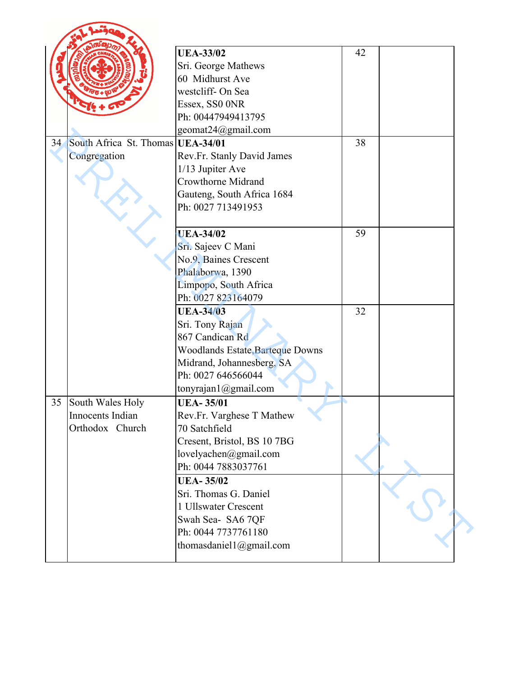|    |                                   | <b>UEA-33/02</b>                        | 42 |  |
|----|-----------------------------------|-----------------------------------------|----|--|
|    |                                   | Sri. George Mathews                     |    |  |
|    |                                   | 60 Midhurst Ave                         |    |  |
|    |                                   | westcliff- On Sea                       |    |  |
|    |                                   | Essex, SS0 0NR                          |    |  |
|    |                                   | Ph: 00447949413795                      |    |  |
|    |                                   | geomat24@gmail.com                      |    |  |
| 34 | South Africa St. Thomas UEA-34/01 |                                         | 38 |  |
|    | Congregation                      | Rev.Fr. Stanly David James              |    |  |
|    |                                   | 1/13 Jupiter Ave                        |    |  |
|    |                                   | <b>Crowthorne Midrand</b>               |    |  |
|    |                                   | Gauteng, South Africa 1684              |    |  |
|    |                                   | Ph: 0027 713491953                      |    |  |
|    |                                   |                                         |    |  |
|    |                                   | <b>UEA-34/02</b>                        | 59 |  |
|    |                                   | Sri. Sajeev C Mani                      |    |  |
|    |                                   | No.9, Baines Crescent                   |    |  |
|    |                                   | Phalaborwa, 1390                        |    |  |
|    |                                   | Limpopo, South Africa                   |    |  |
|    |                                   | Ph: 0027 823164079                      |    |  |
|    |                                   | <b>UEA-34/03</b>                        | 32 |  |
|    |                                   | Sri. Tony Rajan                         |    |  |
|    |                                   | 867 Candican Rd                         |    |  |
|    |                                   | <b>Woodlands Estate, Barteque Downs</b> |    |  |
|    |                                   | Midrand, Johannesberg, SA               |    |  |
|    |                                   | Ph: 0027 646566044                      |    |  |
|    |                                   | tonyrajan1@gmail.com                    |    |  |
| 35 | South Wales Holy                  | <b>UEA-35/01</b>                        |    |  |
|    | Innocents Indian                  | Rev.Fr. Varghese T Mathew               |    |  |
|    | Orthodox Church                   | 70 Satchfield                           |    |  |
|    |                                   | Cresent, Bristol, BS 10 7BG             |    |  |
|    |                                   | lovelyachen@gmail.com                   |    |  |
|    |                                   | Ph: 0044 7883037761                     |    |  |
|    |                                   | <b>UEA-35/02</b>                        |    |  |
|    |                                   | Sri. Thomas G. Daniel                   |    |  |
|    |                                   | 1 Ullswater Crescent                    |    |  |
|    |                                   |                                         |    |  |
|    |                                   | Swah Sea- SA6 7QF                       |    |  |
|    |                                   | Ph: 0044 7737761180                     |    |  |
|    |                                   | thomasdaniel1@gmail.com                 |    |  |
|    |                                   |                                         |    |  |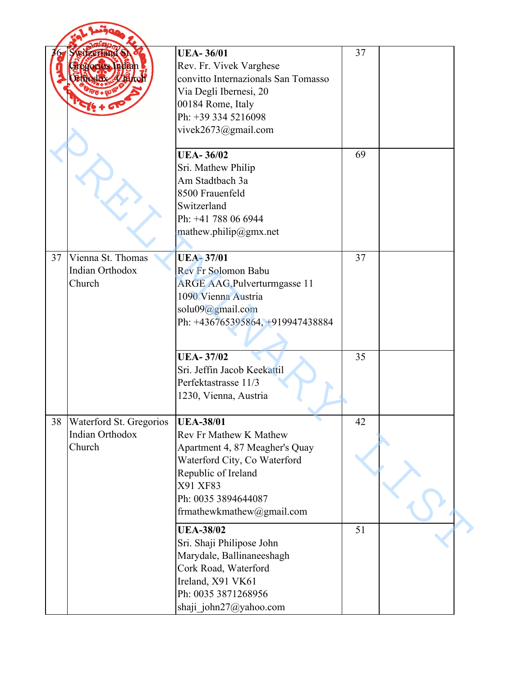|    | <b>WIZerland St</b><br>degorios Indian<br>Ethedox Vhirch    | <b>UEA-36/01</b><br>Rev. Fr. Vivek Varghese<br>convitto Internazionals San Tomasso<br>Via Degli Ibernesi, 20<br>00184 Rome, Italy<br>Ph: +39 334 5216098<br>vivek2673@gmail.com                     | 37 |  |
|----|-------------------------------------------------------------|-----------------------------------------------------------------------------------------------------------------------------------------------------------------------------------------------------|----|--|
|    |                                                             | <b>UEA-36/02</b><br>Sri. Mathew Philip<br>Am Stadtbach 3a<br>8500 Frauenfeld<br>Switzerland<br>Ph: +41 788 06 6944<br>mathew.philip@gmx.net                                                         | 69 |  |
| 37 | Vienna St. Thomas<br><b>Indian Orthodox</b><br>Church       | <b>UEA-37/01</b><br><b>Rev Fr Solomon Babu</b><br><b>ARGE AAG, Pulverturmgasse 11</b><br>1090 Vienna Austria<br>solu09@gmail.com<br>Ph: +436765395864, +919947438884                                | 37 |  |
|    |                                                             | <b>UEA-37/02</b><br>Sri. Jeffin Jacob Keekattil<br>Perfektastrasse 11/3<br>1230, Vienna, Austria                                                                                                    | 35 |  |
| 38 | Waterford St. Gregorios<br><b>Indian Orthodox</b><br>Church | <b>UEA-38/01</b><br>Rev Fr Mathew K Mathew<br>Apartment 4, 87 Meagher's Quay<br>Waterford City, Co Waterford<br>Republic of Ireland<br>X91 XF83<br>Ph: 0035 3894644087<br>frmathewkmathew@gmail.com | 42 |  |
|    |                                                             | <b>UEA-38/02</b><br>Sri. Shaji Philipose John<br>Marydale, Ballinaneeshagh<br>Cork Road, Waterford<br>Ireland, X91 VK61<br>Ph: 0035 3871268956<br>shaji john27@yahoo.com                            | 51 |  |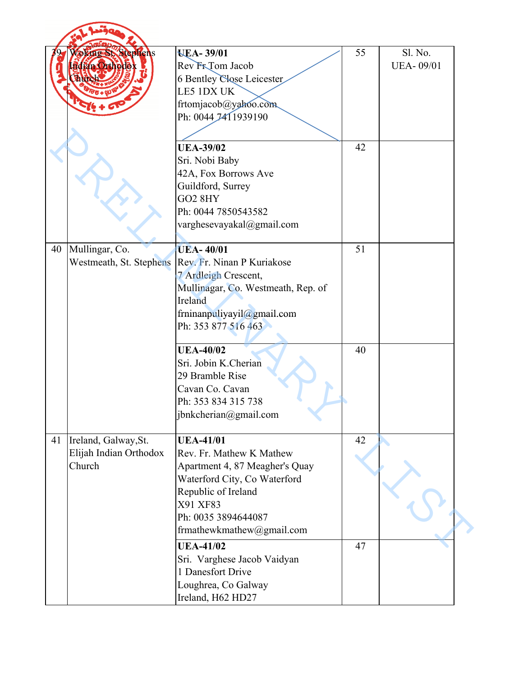|    | <b>Voking St. Stephens</b><br><b>Edián Orthodek</b> | <b>UEA-39/01</b><br>Rev FrTom Jacob         | 55 | Sl. No.<br><b>UEA-09/01</b> |
|----|-----------------------------------------------------|---------------------------------------------|----|-----------------------------|
|    |                                                     | <b>6 Bentley Close Leicester</b>            |    |                             |
|    |                                                     | LE5 1DX UK                                  |    |                             |
|    |                                                     | frtomjacob@yahoo.com<br>Ph: 0044 7411939190 |    |                             |
|    |                                                     |                                             |    |                             |
|    |                                                     |                                             |    |                             |
|    |                                                     | <b>UEA-39/02</b>                            | 42 |                             |
|    |                                                     | Sri. Nobi Baby<br>42A, Fox Borrows Ave      |    |                             |
|    |                                                     | Guildford, Surrey                           |    |                             |
|    |                                                     | <b>GO2 8HY</b>                              |    |                             |
|    |                                                     | Ph: 0044 7850543582                         |    |                             |
|    |                                                     | varghesevayakal@gmail.com                   |    |                             |
|    |                                                     |                                             |    |                             |
| 40 | Mullingar, Co.                                      | <b>UEA-40/01</b>                            | 51 |                             |
|    | Westmeath, St. Stephens                             | Rev. Fr. Ninan P Kuriakose                  |    |                             |
|    |                                                     | 7 Ardleigh Crescent,                        |    |                             |
|    |                                                     | Mullinagar, Co. Westmeath, Rep. of          |    |                             |
|    |                                                     | Ireland                                     |    |                             |
|    |                                                     | frninanpuliyayil@gmail.com                  |    |                             |
|    |                                                     | Ph: 353 877 516 463                         |    |                             |
|    |                                                     | <b>UEA-40/02</b>                            | 40 |                             |
|    |                                                     | Sri. Jobin K.Cherian                        |    |                             |
|    |                                                     | 29 Bramble Rise                             |    |                             |
|    |                                                     | Cavan Co. Cavan                             |    |                             |
|    |                                                     | Ph: 353 834 315 738                         |    |                             |
|    |                                                     | jbnkcherian@gmail.com                       |    |                             |
| 41 | Ireland, Galway, St.                                | <b>UEA-41/01</b>                            | 42 |                             |
|    | Elijah Indian Orthodox                              | Rev. Fr. Mathew K Mathew                    |    |                             |
|    | Church                                              | Apartment 4, 87 Meagher's Quay              |    |                             |
|    |                                                     | Waterford City, Co Waterford                |    |                             |
|    |                                                     | Republic of Ireland                         |    |                             |
|    |                                                     | X91 XF83                                    |    |                             |
|    |                                                     | Ph: 0035 3894644087                         |    |                             |
|    |                                                     | frmathewkmathew@gmail.com                   |    |                             |
|    |                                                     | <b>UEA-41/02</b>                            | 47 |                             |
|    |                                                     | Sri. Varghese Jacob Vaidyan                 |    |                             |
|    |                                                     | 1 Danesfort Drive                           |    |                             |
|    |                                                     | Loughrea, Co Galway                         |    |                             |
|    |                                                     | Ireland, H62 HD27                           |    |                             |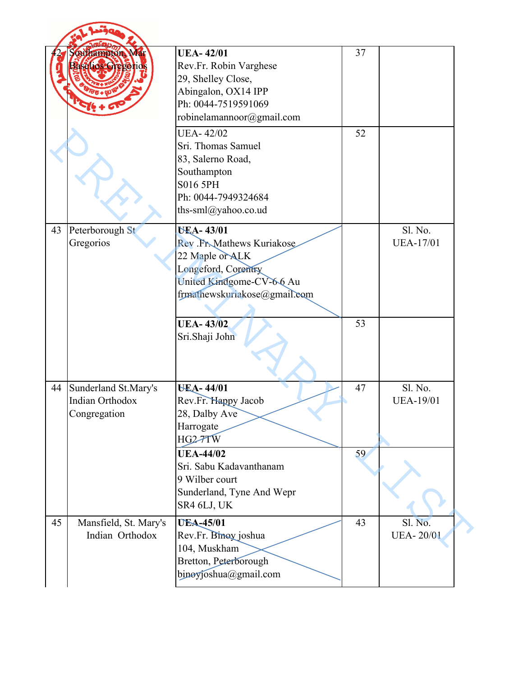|    | <b>Sauhampton Mar</b><br>aselios-Gregerios              | <b>UEA-42/01</b><br>Rev.Fr. Robin Varghese<br>29, Shelley Close,<br>Abingalon, OX14 IPP<br>Ph: 0044-7519591069<br>robinelamannoor@gmail.com        | 37 |                             |
|----|---------------------------------------------------------|----------------------------------------------------------------------------------------------------------------------------------------------------|----|-----------------------------|
|    |                                                         | <b>UEA-42/02</b><br>Sri. Thomas Samuel<br>83, Salerno Road,<br>Southampton<br>S016 5PH<br>Ph: 0044-7949324684<br>ths-sml@yahoo.co.ud               | 52 |                             |
| 43 | Peterborough St<br>Gregorios                            | <b>UEA-43/01</b><br>Rev.Fr.Mathews Kuriakose<br>22 Maple or ALK<br>Longeford, Corentry<br>United Kindgome-CV-66 Au<br>frmathewskuriakose@gmail.com |    | Sl. No.<br><b>UEA-17/01</b> |
|    |                                                         | <b>UEA-43/02</b><br>Sri.Shaji John                                                                                                                 | 53 |                             |
| 44 | Sunderland St.Mary's<br>Indian Orthodox<br>Congregation | <b>UEA-44/01</b><br>Rev.Fr. Happy Jacob<br>28, Dalby Ave<br>Harrogate<br>HG2-7TW                                                                   | 47 | Sl. No.<br><b>UEA-19/01</b> |
|    |                                                         | <b>UEA-44/02</b><br>Sri. Sabu Kadavanthanam<br>9 Wilber court<br>Sunderland, Tyne And Wepr<br>SR4 6LJ, UK                                          | 59 |                             |
| 45 | Mansfield, St. Mary's<br>Indian Orthodox                | <b>UEA-45/01</b><br>Rev.Fr. Binoy joshua<br>104, Muskham<br>Bretton, Peterborough<br>binoyjoshua@gmail.com                                         | 43 | Sl. No.<br><b>UEA-20/01</b> |